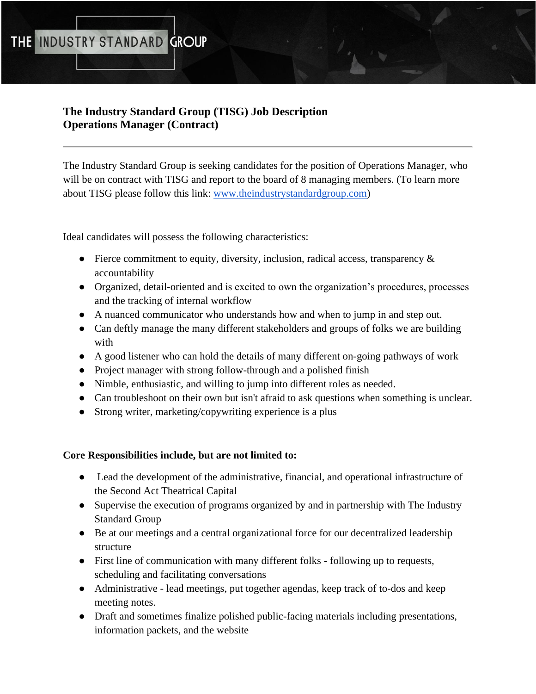# **The Industry Standard Group (TISG) Job Description Operations Manager (Contract)**

The Industry Standard Group is seeking candidates for the position of Operations Manager, who will be on contract with TISG and report to the board of 8 managing members. (To learn more about TISG please follow this link: [www.theindustrystandardgroup.com\)](https://www.theindustrystandardgroup.com/about)

Ideal candidates will possess the following characteristics:

- Fierce commitment to equity, diversity, inclusion, radical access, transparency & accountability
- Organized, detail-oriented and is excited to own the organization's procedures, processes and the tracking of internal workflow
- A nuanced communicator who understands how and when to jump in and step out.
- Can deftly manage the many different stakeholders and groups of folks we are building with
- A good listener who can hold the details of many different on-going pathways of work
- Project manager with strong follow-through and a polished finish
- Nimble, enthusiastic, and willing to jump into different roles as needed.
- Can troubleshoot on their own but isn't afraid to ask questions when something is unclear.
- Strong writer, marketing/copywriting experience is a plus

# **Core Responsibilities include, but are not limited to:**

- Lead the development of the administrative, financial, and operational infrastructure of the Second Act Theatrical Capital
- Supervise the execution of programs organized by and in partnership with The Industry Standard Group
- Be at our meetings and a central organizational force for our decentralized leadership structure
- First line of communication with many different folks following up to requests, scheduling and facilitating conversations
- Administrative lead meetings, put together agendas, keep track of to-dos and keep meeting notes.
- Draft and sometimes finalize polished public-facing materials including presentations, information packets, and the website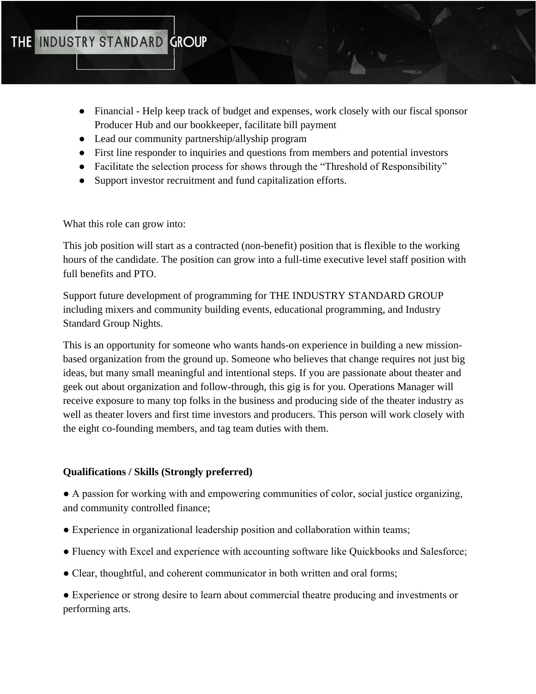- Financial Help keep track of budget and expenses, work closely with our fiscal sponsor Producer Hub and our bookkeeper, facilitate bill payment
- Lead our community partnership/allyship program
- First line responder to inquiries and questions from members and potential investors
- Facilitate the selection process for shows through the "Threshold of Responsibility"
- Support investor recruitment and fund capitalization efforts.

What this role can grow into:

This job position will start as a contracted (non-benefit) position that is flexible to the working hours of the candidate. The position can grow into a full-time executive level staff position with full benefits and PTO.

Support future development of programming for THE INDUSTRY STANDARD GROUP including mixers and community building events, educational programming, and Industry Standard Group Nights.

This is an opportunity for someone who wants hands-on experience in building a new missionbased organization from the ground up. Someone who believes that change requires not just big ideas, but many small meaningful and intentional steps. If you are passionate about theater and geek out about organization and follow-through, this gig is for you. Operations Manager will receive exposure to many top folks in the business and producing side of the theater industry as well as theater lovers and first time investors and producers. This person will work closely with the eight co-founding members, and tag team duties with them.

# **Qualifications / Skills (Strongly preferred)**

● A passion for working with and empowering communities of color, social justice organizing, and community controlled finance;

- Experience in organizational leadership position and collaboration within teams;
- Fluency with Excel and experience with accounting software like Quickbooks and Salesforce;
- Clear, thoughtful, and coherent communicator in both written and oral forms;

● Experience or strong desire to learn about commercial theatre producing and investments or performing arts.